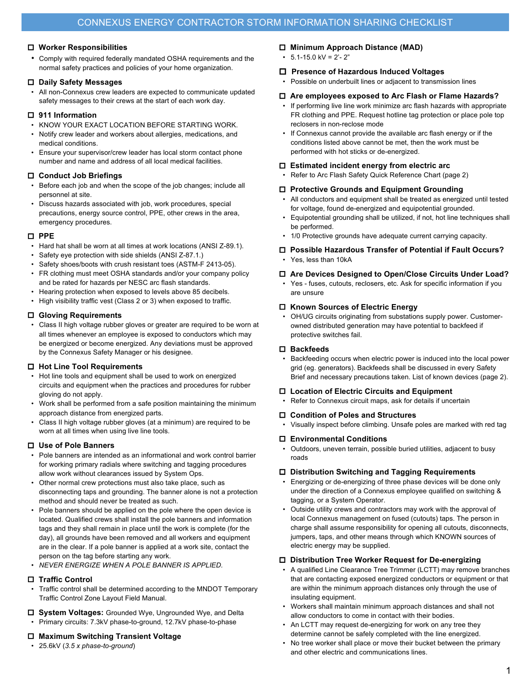# o **Worker Responsibilities**

• Comply with required federally mandated OSHA requirements and the normal safety practices and policies of your home organization.

# o **Daily Safety Messages**

• All non-Connexus crew leaders are expected to communicate updated safety messages to their crews at the start of each work day.

# o **911 Information**

- KNOW YOUR EXACT LOCATION BEFORE STARTING WORK.
- Notify crew leader and workers about allergies, medications, and medical conditions.
- Ensure your supervisor/crew leader has local storm contact phone number and name and address of all local medical facilities.

# o **Conduct Job Briefings**

- Before each job and when the scope of the job changes; include all personnel at site.
- Discuss hazards associated with job, work procedures, special precautions, energy source control, PPE, other crews in the area, emergency procedures.

# o **PPE**

- Hard hat shall be worn at all times at work locations (ANSI Z-89.1).
- Safety eye protection with side shields (ANSI Z-87.1.)
- Safety shoes/boots with crush resistant toes (ASTM-F 2413-05).
- FR clothing must meet OSHA standards and/or your company policy and be rated for hazards per NESC arc flash standards.
- Hearing protection when exposed to levels above 85 decibels.
- High visibility traffic vest (Class 2 or 3) when exposed to traffic.

# o **Gloving Requirements**

• Class II high voltage rubber gloves or greater are required to be worn at all times whenever an employee is exposed to conductors which may be energized or become energized. Any deviations must be approved by the Connexus Safety Manager or his designee.

# o **Hot Line Tool Requirements**

- Hot line tools and equipment shall be used to work on energized circuits and equipment when the practices and procedures for rubber gloving do not apply.
- Work shall be performed from a safe position maintaining the minimum approach distance from energized parts.
- Class II high voltage rubber gloves (at a minimum) are required to be worn at all times when using live line tools.

# o **Use of Pole Banners**

- Pole banners are intended as an informational and work control barrier for working primary radials where switching and tagging procedures allow work without clearances issued by System Ops.
- Other normal crew protections must also take place, such as disconnecting taps and grounding. The banner alone is not a protection method and should never be treated as such.
- Pole banners should be applied on the pole where the open device is located. Qualified crews shall install the pole banners and information tags and they shall remain in place until the work is complete (for the day), all grounds have been removed and all workers and equipment are in the clear. If a pole banner is applied at a work site, contact the person on the tag before starting any work.
- *NEVER ENERGIZE WHEN A POLE BANNER IS APPLIED.*

# o **Traffic Control**

- Traffic control shall be determined according to the MNDOT Temporary Traffic Control Zone Layout Field Manual.
- □ System Voltages: Grounded Wye, Ungrounded Wye, and Delta
- Primary circuits: 7.3kV phase-to-ground, 12.7kV phase-to-phase

# o **Maximum Switching Transient Voltage**

• 25.6kV (*3.5 x phase-to-ground*)

# o **Minimum Approach Distance (MAD)**

 $\cdot$  5.1-15.0 kV = 2'-2"

# o **Presence of Hazardous Induced Voltages**

• Possible on underbuilt lines or adjacent to transmission lines

### o **Are employees exposed to Arc Flash or Flame Hazards?**

- If performing live line work minimize arc flash hazards with appropriate FR clothing and PPE. Request hotline tag protection or place pole top reclosers in non-reclose mode
- If Connexus cannot provide the available arc flash energy or if the conditions listed above cannot be met, then the work must be performed with hot sticks or de-energized.

# □ Estimated incident energy from electric arc

• Refer to Arc Flash Safety Quick Reference Chart (page 2)

# □ Protective Grounds and Equipment Grounding

- All conductors and equipment shall be treated as energized until tested for voltage, found de-energized and equipotential grounded.
- Equipotential grounding shall be utilized, if not, hot line techniques shall be performed.
- 1/0 Protective grounds have adequate current carrying capacity.

#### o **Possible Hazardous Transfer of Potential if Fault Occurs?**  • Yes, less than 10kA

# o **Are Devices Designed to Open/Close Circuits Under Load?**

• Yes - fuses, cutouts, reclosers, etc. Ask for specific information if you are unsure

# o **Known Sources of Electric Energy**

• OH/UG circuits originating from substations supply power. Customerowned distributed generation may have potential to backfeed if protective switches fail.

# o **Backfeeds**

• Backfeeding occurs when electric power is induced into the local power grid (eg. generators). Backfeeds shall be discussed in every Safety Brief and necessary precautions taken. List of known devices (page 2).

# □ Location of Electric Circuits and Equipment

Refer to Connexus circuit maps, ask for details if uncertain

# o **Condition of Poles and Structures**

• Visually inspect before climbing. Unsafe poles are marked with red tag

# o **Environmental Conditions**

• Outdoors, uneven terrain, possible buried utilities, adjacent to busy roads

# o **Distribution Switching and Tagging Requirements**

- Energizing or de-energizing of three phase devices will be done only under the direction of a Connexus employee qualified on switching & tagging, or a System Operator.
- Outside utility crews and contractors may work with the approval of local Connexus management on fused (cutouts) taps. The person in charge shall assume responsibility for opening all cutouts, disconnects, jumpers, taps, and other means through which KNOWN sources of electric energy may be supplied.

# □ Distribution Tree Worker Request for De-energizing

- A qualified Line Clearance Tree Trimmer (LCTT) may remove branches that are contacting exposed energized conductors or equipment or that are within the minimum approach distances only through the use of insulating equipment.
- Workers shall maintain minimum approach distances and shall not allow conductors to come in contact with their bodies.
- An LCTT may request de-energizing for work on any tree they determine cannot be safely completed with the line energized.
- No tree worker shall place or move their bucket between the primary and other electric and communications lines.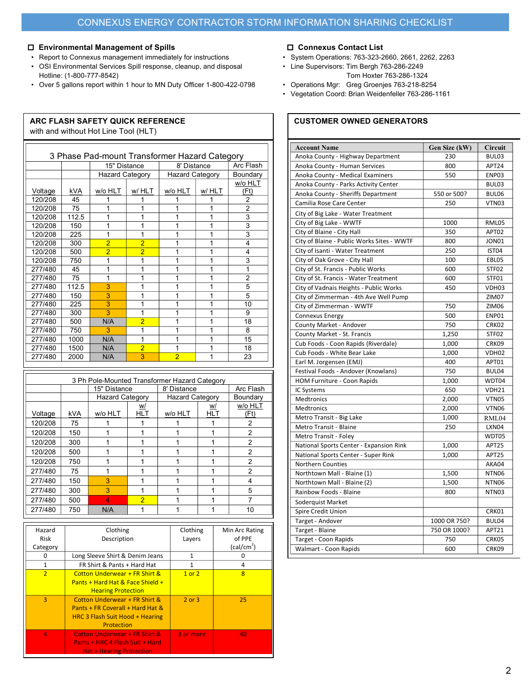# o **Environmental Management of Spills**

- Report to Connexus management immediately for instructions
- OSI Environmental Services Spill response, cleanup, and disposal Hotline: (1-800-777-8542)
- Over 5 gallons report within 1 hour to MN Duty Officer 1-800-422-0798

| with and without Hot Line Tool (HLT)          |            |                                                  |                |                |             |                |
|-----------------------------------------------|------------|--------------------------------------------------|----------------|----------------|-------------|----------------|
| 3 Phase Pad-mount Transformer Hazard Category |            |                                                  |                |                |             |                |
|                                               |            |                                                  | 15" Distance   |                | 8' Distance | Arc Flash      |
|                                               |            | <b>Hazard Category</b><br><b>Hazard Category</b> |                |                | Boundary    |                |
|                                               |            |                                                  |                |                |             | w/o HLT        |
| Voltage                                       | <b>kVA</b> | w/o HLT                                          | w/ HLT         | w/o HLT        | w/HLT       | (Ft)           |
| 120/208                                       | 45         | 1                                                | 1              | 1              | 1           | 2              |
| 120/208                                       | 75         | 1                                                | 1              | 1              | 1           | $\overline{2}$ |
| 120/208                                       | 112.5      | 1                                                | 1              | 1              | 1           | 3              |
| 120/208                                       | 150        | 1                                                | 1              | 1              | 1           | 3              |
| 120/208                                       | 225        | 1                                                | 1              | 1              | 1           | 3              |
| 120/208                                       | 300        | $\overline{2}$                                   | $\overline{2}$ | 1              | 1           | 4              |
| 120/208                                       | 500        | $\overline{2}$                                   | $\overline{2}$ | 1              | 1           | 4              |
| 120/208                                       | 750        | 1                                                | 1              | 1              | 1           | 3              |
| 277/480                                       | 45         | 1                                                | 1              | 1              | 1           | 1              |
| 277/480                                       | 75         | 1                                                | 1              | 1              | 1           | 2              |
| 277/480                                       | 112.5      | 3                                                | 1              | 1              | 1           | 5              |
| 277/480                                       | 150        | 3                                                | 1              | 1              | 1           | 5              |
| 277/480                                       | 225        | 3                                                | 1              | 1              | 1           | 10             |
| 277/480                                       | 300        | 3                                                | 1              | 1              | 1           | 9              |
| 277/480                                       | 500        | N/A                                              | $\overline{2}$ | 1              | 1           | 18             |
| 277/480                                       | 750        | 3                                                | 1              | 1              | 1           | 8              |
| 277/480                                       | 1000       | N/A                                              | 1              | 1              | 1           | 15             |
| 277/480                                       | 1500       | N/A                                              | $\overline{2}$ | 1              | 1           | 18             |
| 277/480                                       | 2000       | N/A                                              | 3              | $\overline{2}$ | 1           | 23             |

| 3 Ph Pole-Mounted Transformer Hazard Category |            |                        |                |                        |            |                |
|-----------------------------------------------|------------|------------------------|----------------|------------------------|------------|----------------|
|                                               |            | 15" Distance           |                | 8' Distance            |            | Arc Flash      |
|                                               |            | <b>Hazard Category</b> |                | <b>Hazard Category</b> |            | Boundary       |
|                                               |            |                        | W/             |                        | w/         | w/o HLT        |
| Voltage                                       | <b>kVA</b> | w/o HLT                | <b>HLT</b>     | w/o HLT                | <b>HLT</b> | (Ft)           |
| 120/208                                       | 75         |                        |                |                        |            | 2              |
| 120/208                                       | 150        |                        |                |                        |            | 2              |
| 120/208                                       | 300        |                        |                |                        |            | 2              |
| 120/208                                       | 500        |                        |                |                        |            | $\overline{2}$ |
| 120/208                                       | 750        |                        |                |                        |            | 2              |
| 277/480                                       | 75         |                        |                |                        |            | 2              |
| 277/480                                       | 150        | 3                      |                |                        |            | 4              |
| 277/480                                       | 300        | 3                      |                |                        |            | 5              |
| 277/480                                       | 500        | Δ                      | $\overline{2}$ |                        |            |                |
| 277/480                                       | 750        | N/A                    |                |                        |            | 10             |

| Hazard<br>Risk | Clothing<br>Description                                                                                            | Clothing<br>Layers | Min Arc Rating<br>of PPE<br>(cal/cm <sup>2</sup> ) |
|----------------|--------------------------------------------------------------------------------------------------------------------|--------------------|----------------------------------------------------|
| Category       |                                                                                                                    |                    |                                                    |
| 0              | Long Sleeve Shirt & Denim Jeans                                                                                    |                    | 0                                                  |
| $\mathbf{1}$   | FR Shirt & Pants + Hard Hat                                                                                        | 1                  | 4                                                  |
| $\overline{2}$ | <b>Cotton Underwear + FR Shirt &amp;</b><br>Pants + Hard Hat & Face Shield +<br><b>Hearing Protection</b>          | $1$ or $2$         | 8                                                  |
| $\overline{3}$ | Cotton Underwear + FR Shirt &<br>Pants + FR Coverall + Hard Hat &<br>HRC 3 Flash Suit Hood + Hearing<br>Protection | $2$ or $3$         | 25                                                 |
| $\overline{4}$ | Cotton Underwear + FR Shirt &<br>Pants + HRC 4 Flash Suit + Hard<br><b>Hat + Hearing Protection</b>                | 3 or more          | 40                                                 |

# o **Connexus Contact List**

- System Operations: 763-323-2660, 2661, 2262, 2263
- Line Supervisors: Tim Bergh 763-286-2249 Tom Hoxter 763-286-1324
- Operations Mgr: Greg Groenjes 763-218-8254
- Vegetation Coord: Brian Weidenfeller 763-286-1161

# **ARC FLASH SAFETY QUICK REFERENCE CUSTOMER OWNED GENERATORS**

| <b>Account Name</b>                        | Gen Size (kW) | Circuit           |
|--------------------------------------------|---------------|-------------------|
| Anoka County - Highway Department          | 230           | BUL03             |
| Anoka County - Human Services              | 800           | APT24             |
| Anoka County - Medical Examiners           | 550           | ENP03             |
| Anoka County - Parks Activity Center       |               | BUL03             |
| Anoka County - Sheriffs Department         | 550 or 500?   | BUL06             |
| Camilia Rose Care Center                   | 250           | VTN03             |
| City of Big Lake - Water Treatment         |               |                   |
| City of Big Lake - WWTF                    | 1000          | RML05             |
| City of Blaine - City Hall                 | 350           | APT02             |
| City of Blaine - Public Works Sites - WWTF | 800           | JON01             |
| City of Isanti - Water Treatment           | 250           | IST04             |
| City of Oak Grove - City Hall              | 100           | EBL05             |
| City of St. Francis - Public Works         | 600           | STF02             |
| City of St. Francis - Water Treatment      | 600           | STF01             |
| City of Vadnais Heights - Public Works     | 450           | VDH03             |
| City of Zimmerman - 4th Ave Well Pump      |               | ZIM07             |
| City of Zimmerman - WWTF                   | 750           | ZIM06             |
| <b>Connexus Energy</b>                     | 500           | ENP01             |
| County Market - Andover                    | 750           | CRK02             |
| County Market - St. Francis                | 1,250         | STF02             |
| Cub Foods - Coon Rapids (Riverdale)        | 1,000         | CRK09             |
| Cub Foods - White Bear Lake                | 1,000         | VDH02             |
| Earl M. Jorgensen (EMJ)                    | 400           | APT01             |
| Festival Foods - Andover (Knowlans)        | 750           | BUL04             |
| HOM Furniture - Coon Rapids                | 1,000         | WDT04             |
| IC Systems                                 | 650           | VDH21             |
| Medtronics                                 | 2,000         | VTN05             |
| Medtronics                                 | 2,000         | VTN06             |
| Metro Transit - Big Lake                   | 1,000         | RML04             |
| Metro Transit - Blaine                     | 250           | LXN04             |
| Metro Transit - Foley                      |               | WDT05             |
| National Sports Center - Expansion Rink    | 1,000         | APT25             |
| National Sports Center - Super Rink        | 1,000         | APT25             |
| <b>Northern Counties</b>                   |               | AKA04             |
| Northtown Mall - Blaine (1)                | 1,500         | NTN <sub>06</sub> |
| Northtown Mall - Blaine (2)                | 1,500         | NTN06             |
| Rainbow Foods - Blaine                     | 800           | NTN <sub>03</sub> |
| Soderquist Market                          |               |                   |
| Spire Credit Union                         |               | CRK01             |
| Target - Andover                           | 1000 OR 750?  | BUL04             |
| Target - Blaine                            | 750 OR 1000?  | APT21             |
| Target - Coon Rapids                       | 750           | CRK05             |
| Walmart - Coon Rapids                      | 600           | CRK09             |